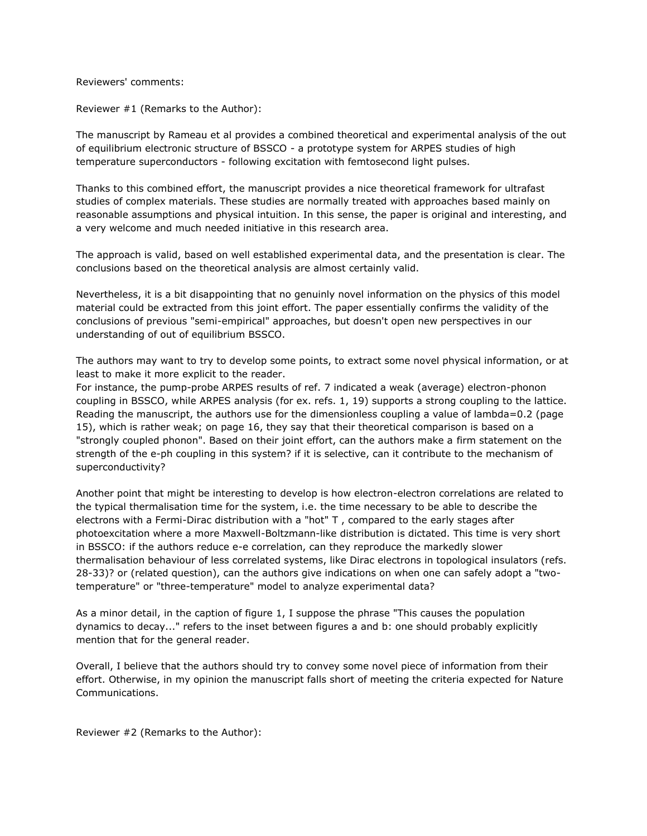Reviewers' comments:

Reviewer #1 (Remarks to the Author):

The manuscript by Rameau et al provides a combined theoretical and experimental analysis of the out of equilibrium electronic structure of BSSCO - a prototype system for ARPES studies of high temperature superconductors - following excitation with femtosecond light pulses.

Thanks to this combined effort, the manuscript provides a nice theoretical framework for ultrafast studies of complex materials. These studies are normally treated with approaches based mainly on reasonable assumptions and physical intuition. In this sense, the paper is original and interesting, and a very welcome and much needed initiative in this research area.

The approach is valid, based on well established experimental data, and the presentation is clear. The conclusions based on the theoretical analysis are almost certainly valid.

Nevertheless, it is a bit disappointing that no genuinly novel information on the physics of this model material could be extracted from this joint effort. The paper essentially confirms the validity of the conclusions of previous "semi-empirical" approaches, but doesn't open new perspectives in our understanding of out of equilibrium BSSCO.

The authors may want to try to develop some points, to extract some novel physical information, or at least to make it more explicit to the reader.

For instance, the pump-probe ARPES results of ref. 7 indicated a weak (average) electron-phonon coupling in BSSCO, while ARPES analysis (for ex. refs. 1, 19) supports a strong coupling to the lattice. Reading the manuscript, the authors use for the dimensionless coupling a value of lambda=0.2 (page 15), which is rather weak; on page 16, they say that their theoretical comparison is based on a "strongly coupled phonon". Based on their joint effort, can the authors make a firm statement on the strength of the e-ph coupling in this system? if it is selective, can it contribute to the mechanism of superconductivity?

Another point that might be interesting to develop is how electron-electron correlations are related to the typical thermalisation time for the system, i.e. the time necessary to be able to describe the electrons with a Fermi-Dirac distribution with a "hot" T , compared to the early stages after photoexcitation where a more Maxwell-Boltzmann-like distribution is dictated. This time is very short in BSSCO: if the authors reduce e-e correlation, can they reproduce the markedly slower thermalisation behaviour of less correlated systems, like Dirac electrons in topological insulators (refs. 28-33)? or (related question), can the authors give indications on when one can safely adopt a "twotemperature" or "three-temperature" model to analyze experimental data?

As a minor detail, in the caption of figure 1, I suppose the phrase "This causes the population dynamics to decay..." refers to the inset between figures a and b: one should probably explicitly mention that for the general reader.

Overall, I believe that the authors should try to convey some novel piece of information from their effort. Otherwise, in my opinion the manuscript falls short of meeting the criteria expected for Nature Communications.

Reviewer #2 (Remarks to the Author):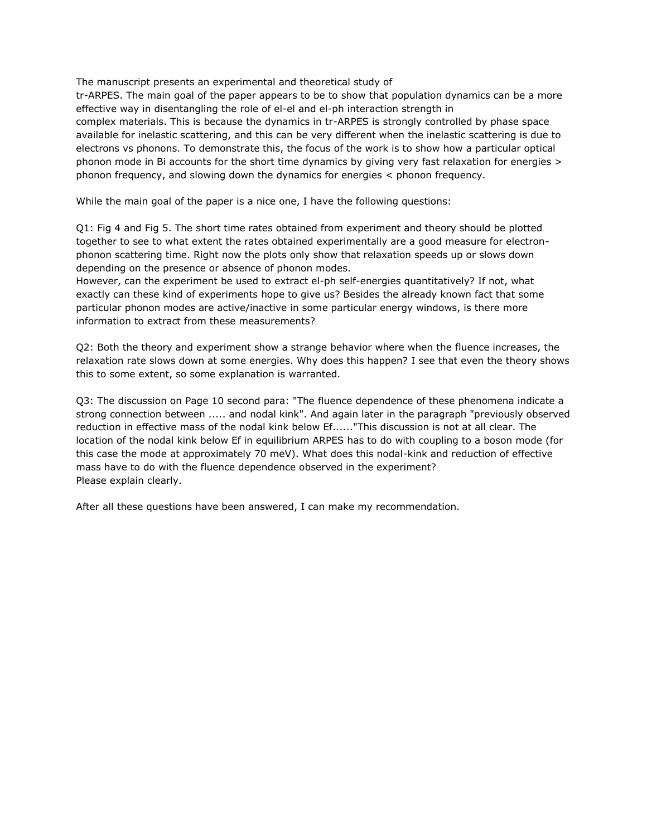The manuscript presents an experimental and theoretical study of

tr-ARPES. The main goal of the paper appears to be to show that population dynamics can be a more effective way in disentangling the role of el-el and el-ph interaction strength in complex materials. This is because the dynamics in tr-ARPES is strongly controlled by phase space available for inelastic scattering, and this can be very different when the inelastic scattering is due to electrons vs phonons. To demonstrate this, the focus of the work is to show how a particular optical phonon mode in Bi accounts for the short time dynamics by giving very fast relaxation for energies > phonon frequency, and slowing down the dynamics for energies < phonon frequency.

While the main goal of the paper is a nice one, I have the following questions:

Q1: Fig 4 and Fig 5. The short time rates obtained from experiment and theory should be plotted together to see to what extent the rates obtained experimentally are a good measure for electronphonon scattering time. Right now the plots only show that relaxation speeds up or slows down depending on the presence or absence of phonon modes.

However, can the experiment be used to extract el-ph self-energies quantitatively? If not, what exactly can these kind of experiments hope to give us? Besides the already known fact that some particular phonon modes are active/inactive in some particular energy windows, is there more information to extract from these measurements?

Q2: Both the theory and experiment show a strange behavior where when the fluence increases, the relaxation rate slows down at some energies. Why does this happen? I see that even the theory shows this to some extent, so some explanation is warranted.

Q3: The discussion on Page 10 second para: "The fluence dependence of these phenomena indicate a strong connection between ..... and nodal kink". And again later in the paragraph "previously observed reduction in effective mass of the nodal kink below Ef......"This discussion is not at all clear. The location of the nodal kink below Ef in equilibrium ARPES has to do with coupling to a boson mode (for this case the mode at approximately 70 meV). What does this nodal-kink and reduction of effective mass have to do with the fluence dependence observed in the experiment? Please explain clearly.

After all these questions have been answered, I can make my recommendation.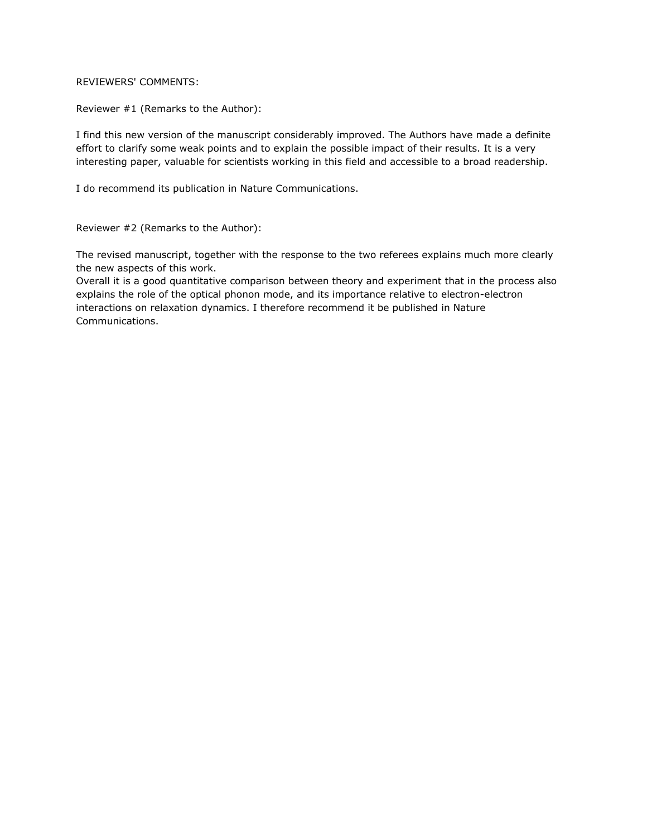## REVIEWERS' COMMENTS:

Reviewer #1 (Remarks to the Author):

I find this new version of the manuscript considerably improved. The Authors have made a definite effort to clarify some weak points and to explain the possible impact of their results. It is a very interesting paper, valuable for scientists working in this field and accessible to a broad readership.

I do recommend its publication in Nature Communications.

Reviewer #2 (Remarks to the Author):

The revised manuscript, together with the response to the two referees explains much more clearly the new aspects of this work.

Overall it is a good quantitative comparison between theory and experiment that in the process also explains the role of the optical phonon mode, and its importance relative to electron-electron interactions on relaxation dynamics. I therefore recommend it be published in Nature Communications.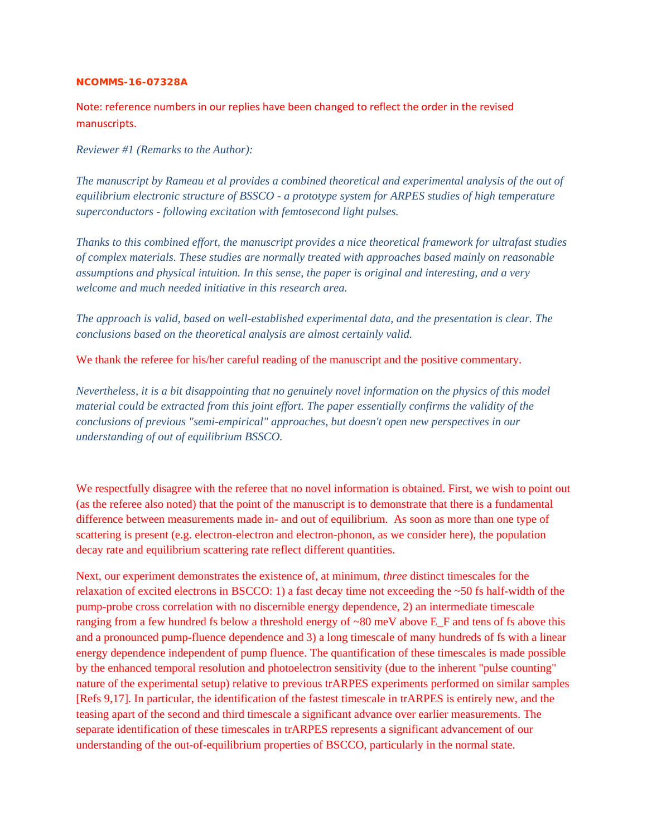## **NCOMMS-16-07328A**

Note: reference numbers in our replies have been changed to reflect the order in the revised manuscripts.

*Reviewer #1 (Remarks to the Author):* 

*The manuscript by Rameau et al provides a combined theoretical and experimental analysis of the out of equilibrium electronic structure of BSSCO - a prototype system for ARPES studies of high temperature superconductors - following excitation with femtosecond light pulses.* 

*Thanks to this combined effort, the manuscript provides a nice theoretical framework for ultrafast studies of complex materials. These studies are normally treated with approaches based mainly on reasonable assumptions and physical intuition. In this sense, the paper is original and interesting, and a very welcome and much needed initiative in this research area.* 

*The approach is valid, based on well-established experimental data, and the presentation is clear. The conclusions based on the theoretical analysis are almost certainly valid.* 

We thank the referee for his/her careful reading of the manuscript and the positive commentary.

*Nevertheless, it is a bit disappointing that no genuinely novel information on the physics of this model material could be extracted from this joint effort. The paper essentially confirms the validity of the conclusions of previous "semi-empirical" approaches, but doesn't open new perspectives in our understanding of out of equilibrium BSSCO.* 

We respectfully disagree with the referee that no novel information is obtained. First, we wish to point out (as the referee also noted) that the point of the manuscript is to demonstrate that there is a fundamental difference between measurements made in- and out of equilibrium. As soon as more than one type of scattering is present (e.g. electron-electron and electron-phonon, as we consider here), the population decay rate and equilibrium scattering rate reflect different quantities.

Next, our experiment demonstrates the existence of, at minimum, *three* distinct timescales for the relaxation of excited electrons in BSCCO: 1) a fast decay time not exceeding the ~50 fs half-width of the pump-probe cross correlation with no discernible energy dependence, 2) an intermediate timescale ranging from a few hundred fs below a threshold energy of ~80 meV above E\_F and tens of fs above this and a pronounced pump-fluence dependence and 3) a long timescale of many hundreds of fs with a linear energy dependence independent of pump fluence. The quantification of these timescales is made possible by the enhanced temporal resolution and photoelectron sensitivity (due to the inherent "pulse counting" nature of the experimental setup) relative to previous trARPES experiments performed on similar samples [Refs 9,17]. In particular, the identification of the fastest timescale in trARPES is entirely new, and the teasing apart of the second and third timescale a significant advance over earlier measurements. The separate identification of these timescales in trARPES represents a significant advancement of our understanding of the out-of-equilibrium properties of BSCCO, particularly in the normal state.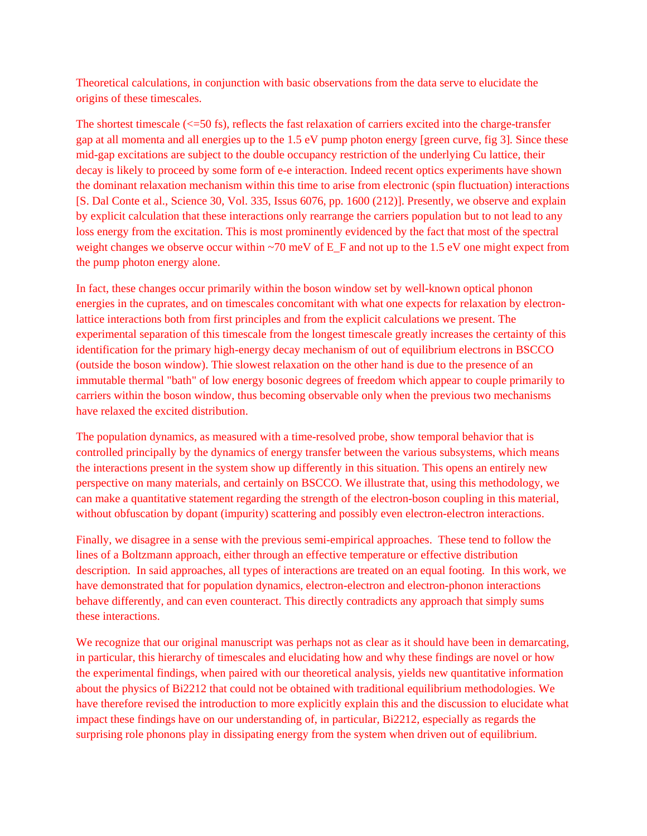Theoretical calculations, in conjunction with basic observations from the data serve to elucidate the origins of these timescales.

The shortest timescale  $\langle \langle =50 \rangle$  fs), reflects the fast relaxation of carriers excited into the charge-transfer gap at all momenta and all energies up to the 1.5 eV pump photon energy [green curve, fig 3]. Since these mid-gap excitations are subject to the double occupancy restriction of the underlying Cu lattice, their decay is likely to proceed by some form of e-e interaction. Indeed recent optics experiments have shown the dominant relaxation mechanism within this time to arise from electronic (spin fluctuation) interactions [S. Dal Conte et al., Science 30, Vol. 335, Issus 6076, pp. 1600 (212)]. Presently, we observe and explain by explicit calculation that these interactions only rearrange the carriers population but to not lead to any loss energy from the excitation. This is most prominently evidenced by the fact that most of the spectral weight changes we observe occur within  $\sim$ 70 meV of E\_F and not up to the 1.5 eV one might expect from the pump photon energy alone.

In fact, these changes occur primarily within the boson window set by well-known optical phonon energies in the cuprates, and on timescales concomitant with what one expects for relaxation by electronlattice interactions both from first principles and from the explicit calculations we present. The experimental separation of this timescale from the longest timescale greatly increases the certainty of this identification for the primary high-energy decay mechanism of out of equilibrium electrons in BSCCO (outside the boson window). Thie slowest relaxation on the other hand is due to the presence of an immutable thermal "bath" of low energy bosonic degrees of freedom which appear to couple primarily to carriers within the boson window, thus becoming observable only when the previous two mechanisms have relaxed the excited distribution.

The population dynamics, as measured with a time-resolved probe, show temporal behavior that is controlled principally by the dynamics of energy transfer between the various subsystems, which means the interactions present in the system show up differently in this situation. This opens an entirely new perspective on many materials, and certainly on BSCCO. We illustrate that, using this methodology, we can make a quantitative statement regarding the strength of the electron-boson coupling in this material, without obfuscation by dopant (impurity) scattering and possibly even electron-electron interactions.

Finally, we disagree in a sense with the previous semi-empirical approaches. These tend to follow the lines of a Boltzmann approach, either through an effective temperature or effective distribution description. In said approaches, all types of interactions are treated on an equal footing. In this work, we have demonstrated that for population dynamics, electron-electron and electron-phonon interactions behave differently, and can even counteract. This directly contradicts any approach that simply sums these interactions.

We recognize that our original manuscript was perhaps not as clear as it should have been in demarcating, in particular, this hierarchy of timescales and elucidating how and why these findings are novel or how the experimental findings, when paired with our theoretical analysis, yields new quantitative information about the physics of Bi2212 that could not be obtained with traditional equilibrium methodologies. We have therefore revised the introduction to more explicitly explain this and the discussion to elucidate what impact these findings have on our understanding of, in particular, Bi2212, especially as regards the surprising role phonons play in dissipating energy from the system when driven out of equilibrium.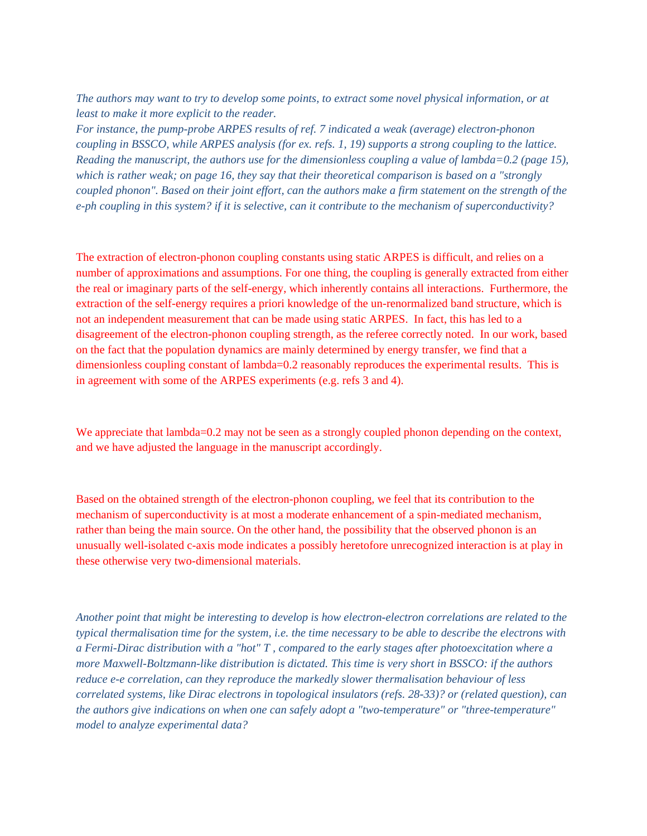*The authors may want to try to develop some points, to extract some novel physical information, or at least to make it more explicit to the reader.* 

*For instance, the pump-probe ARPES results of ref. 7 indicated a weak (average) electron-phonon coupling in BSSCO, while ARPES analysis (for ex. refs. 1, 19) supports a strong coupling to the lattice. Reading the manuscript, the authors use for the dimensionless coupling a value of lambda=0.2 (page 15), which is rather weak; on page 16, they say that their theoretical comparison is based on a "strongly coupled phonon". Based on their joint effort, can the authors make a firm statement on the strength of the e-ph coupling in this system? if it is selective, can it contribute to the mechanism of superconductivity?* 

The extraction of electron-phonon coupling constants using static ARPES is difficult, and relies on a number of approximations and assumptions. For one thing, the coupling is generally extracted from either the real or imaginary parts of the self-energy, which inherently contains all interactions. Furthermore, the extraction of the self-energy requires a priori knowledge of the un-renormalized band structure, which is not an independent measurement that can be made using static ARPES. In fact, this has led to a disagreement of the electron-phonon coupling strength, as the referee correctly noted. In our work, based on the fact that the population dynamics are mainly determined by energy transfer, we find that a dimensionless coupling constant of lambda=0.2 reasonably reproduces the experimental results. This is in agreement with some of the ARPES experiments (e.g. refs 3 and 4).

We appreciate that lambda=0.2 may not be seen as a strongly coupled phonon depending on the context, and we have adjusted the language in the manuscript accordingly.

Based on the obtained strength of the electron-phonon coupling, we feel that its contribution to the mechanism of superconductivity is at most a moderate enhancement of a spin-mediated mechanism, rather than being the main source. On the other hand, the possibility that the observed phonon is an unusually well-isolated c-axis mode indicates a possibly heretofore unrecognized interaction is at play in these otherwise very two-dimensional materials.

*Another point that might be interesting to develop is how electron-electron correlations are related to the typical thermalisation time for the system, i.e. the time necessary to be able to describe the electrons with a Fermi-Dirac distribution with a "hot" T , compared to the early stages after photoexcitation where a more Maxwell-Boltzmann-like distribution is dictated. This time is very short in BSSCO: if the authors reduce e-e correlation, can they reproduce the markedly slower thermalisation behaviour of less correlated systems, like Dirac electrons in topological insulators (refs. 28-33)? or (related question), can the authors give indications on when one can safely adopt a "two-temperature" or "three-temperature" model to analyze experimental data?*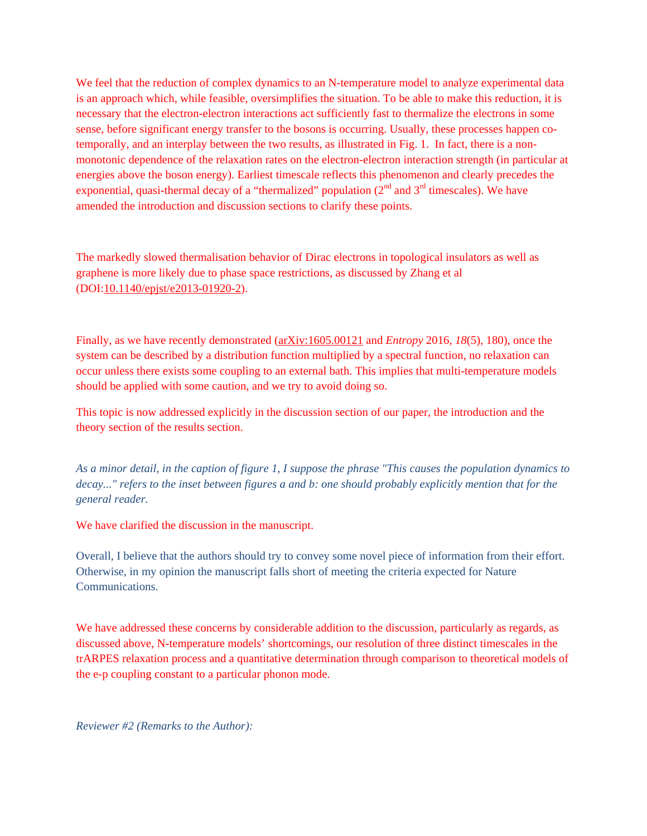We feel that the reduction of complex dynamics to an N-temperature model to analyze experimental data is an approach which, while feasible, oversimplifies the situation. To be able to make this reduction, it is necessary that the electron-electron interactions act sufficiently fast to thermalize the electrons in some sense, before significant energy transfer to the bosons is occurring. Usually, these processes happen cotemporally, and an interplay between the two results, as illustrated in Fig. 1. In fact, there is a nonmonotonic dependence of the relaxation rates on the electron-electron interaction strength (in particular at energies above the boson energy). Earliest timescale reflects this phenomenon and clearly precedes the exponential, quasi-thermal decay of a "thermalized" population  $(2<sup>nd</sup>$  and  $3<sup>rd</sup>$  timescales). We have amended the introduction and discussion sections to clarify these points.

The markedly slowed thermalisation behavior of Dirac electrons in topological insulators as well as graphene is more likely due to phase space restrictions, as discussed by Zhang et al (DOI:10.1140/epjst/e2013-01920-2).

Finally, as we have recently demonstrated (arXiv:1605.00121 and *Entropy* 2016, *18*(5), 180), once the system can be described by a distribution function multiplied by a spectral function, no relaxation can occur unless there exists some coupling to an external bath. This implies that multi-temperature models should be applied with some caution, and we try to avoid doing so.

This topic is now addressed explicitly in the discussion section of our paper, the introduction and the theory section of the results section.

*As a minor detail, in the caption of figure 1, I suppose the phrase "This causes the population dynamics to decay..." refers to the inset between figures a and b: one should probably explicitly mention that for the general reader.*

We have clarified the discussion in the manuscript.

Overall, I believe that the authors should try to convey some novel piece of information from their effort. Otherwise, in my opinion the manuscript falls short of meeting the criteria expected for Nature Communications.

We have addressed these concerns by considerable addition to the discussion, particularly as regards, as discussed above, N-temperature models' shortcomings, our resolution of three distinct timescales in the trARPES relaxation process and a quantitative determination through comparison to theoretical models of the e-p coupling constant to a particular phonon mode.

*Reviewer #2 (Remarks to the Author):*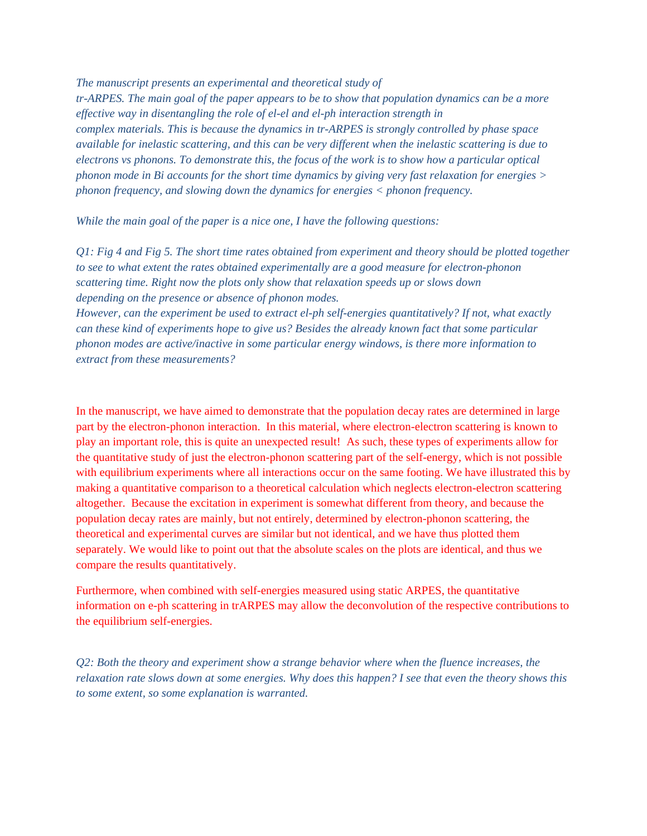*The manuscript presents an experimental and theoretical study of tr-ARPES. The main goal of the paper appears to be to show that population dynamics can be a more effective way in disentangling the role of el-el and el-ph interaction strength in complex materials. This is because the dynamics in tr-ARPES is strongly controlled by phase space available for inelastic scattering, and this can be very different when the inelastic scattering is due to electrons vs phonons. To demonstrate this, the focus of the work is to show how a particular optical phonon mode in Bi accounts for the short time dynamics by giving very fast relaxation for energies > phonon frequency, and slowing down the dynamics for energies < phonon frequency.* 

*While the main goal of the paper is a nice one, I have the following questions:* 

*Q1: Fig 4 and Fig 5. The short time rates obtained from experiment and theory should be plotted together to see to what extent the rates obtained experimentally are a good measure for electron-phonon scattering time. Right now the plots only show that relaxation speeds up or slows down depending on the presence or absence of phonon modes.* 

*However, can the experiment be used to extract el-ph self-energies quantitatively? If not, what exactly can these kind of experiments hope to give us? Besides the already known fact that some particular phonon modes are active/inactive in some particular energy windows, is there more information to extract from these measurements?* 

In the manuscript, we have aimed to demonstrate that the population decay rates are determined in large part by the electron-phonon interaction. In this material, where electron-electron scattering is known to play an important role, this is quite an unexpected result! As such, these types of experiments allow for the quantitative study of just the electron-phonon scattering part of the self-energy, which is not possible with equilibrium experiments where all interactions occur on the same footing. We have illustrated this by making a quantitative comparison to a theoretical calculation which neglects electron-electron scattering altogether. Because the excitation in experiment is somewhat different from theory, and because the population decay rates are mainly, but not entirely, determined by electron-phonon scattering, the theoretical and experimental curves are similar but not identical, and we have thus plotted them separately. We would like to point out that the absolute scales on the plots are identical, and thus we compare the results quantitatively.

Furthermore, when combined with self-energies measured using static ARPES, the quantitative information on e-ph scattering in trARPES may allow the deconvolution of the respective contributions to the equilibrium self-energies.

*Q2: Both the theory and experiment show a strange behavior where when the fluence increases, the relaxation rate slows down at some energies. Why does this happen? I see that even the theory shows this to some extent, so some explanation is warranted.*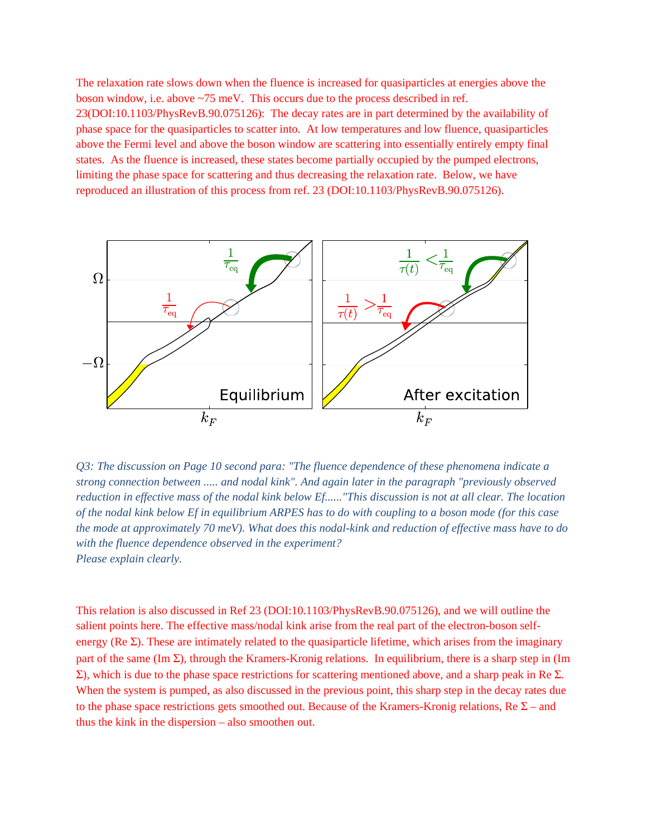The relaxation rate slows down when the fluence is increased for quasiparticles at energies above the boson window, i.e. above ~75 meV. This occurs due to the process described in ref. 23(DOI:10.1103/PhysRevB.90.075126): The decay rates are in part determined by the availability of phase space for the quasiparticles to scatter into. At low temperatures and low fluence, quasiparticles above the Fermi level and above the boson window are scattering into essentially entirely empty final states. As the fluence is increased, these states become partially occupied by the pumped electrons, limiting the phase space for scattering and thus decreasing the relaxation rate. Below, we have reproduced an illustration of this process from ref. 23 (DOI:10.1103/PhysRevB.90.075126).



*Q3: The discussion on Page 10 second para: "The fluence dependence of these phenomena indicate a strong connection between ..... and nodal kink". And again later in the paragraph "previously observed reduction in effective mass of the nodal kink below Ef......"This discussion is not at all clear. The location of the nodal kink below Ef in equilibrium ARPES has to do with coupling to a boson mode (for this case the mode at approximately 70 meV). What does this nodal-kink and reduction of effective mass have to do with the fluence dependence observed in the experiment? Please explain clearly.* 

This relation is also discussed in Ref 23 (DOI:10.1103/PhysRevB.90.075126), and we will outline the salient points here. The effective mass/nodal kink arise from the real part of the electron-boson selfenergy ( $\text{Re } \Sigma$ ). These are intimately related to the quasiparticle lifetime, which arises from the imaginary part of the same (Im  $\Sigma$ ), through the Kramers-Kronig relations. In equilibrium, there is a sharp step in (Im  $\Sigma$ ), which is due to the phase space restrictions for scattering mentioned above, and a sharp peak in Re  $\Sigma$ . When the system is pumped, as also discussed in the previous point, this sharp step in the decay rates due to the phase space restrictions gets smoothed out. Because of the Kramers-Kronig relations, Re  $\Sigma$  – and thus the kink in the dispersion – also smoothen out.